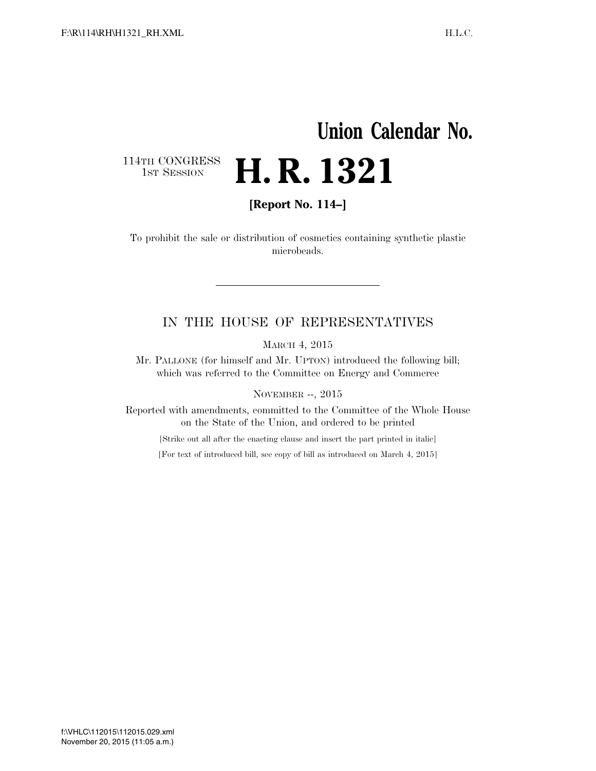## **Union Calendar No.**  114TH CONGRESS<br>1st Session **H. R. 1321**

**[Report No. 114–]** 

To prohibit the sale or distribution of cosmetics containing synthetic plastic microbeads.

## IN THE HOUSE OF REPRESENTATIVES

MARCH 4, 2015

Mr. PALLONE (for himself and Mr. UPTON) introduced the following bill; which was referred to the Committee on Energy and Commerce

NOVEMBER --, 2015

Reported with amendments, committed to the Committee of the Whole House on the State of the Union, and ordered to be printed

[Strike out all after the enacting clause and insert the part printed in italic]

[For text of introduced bill, see copy of bill as introduced on March 4, 2015]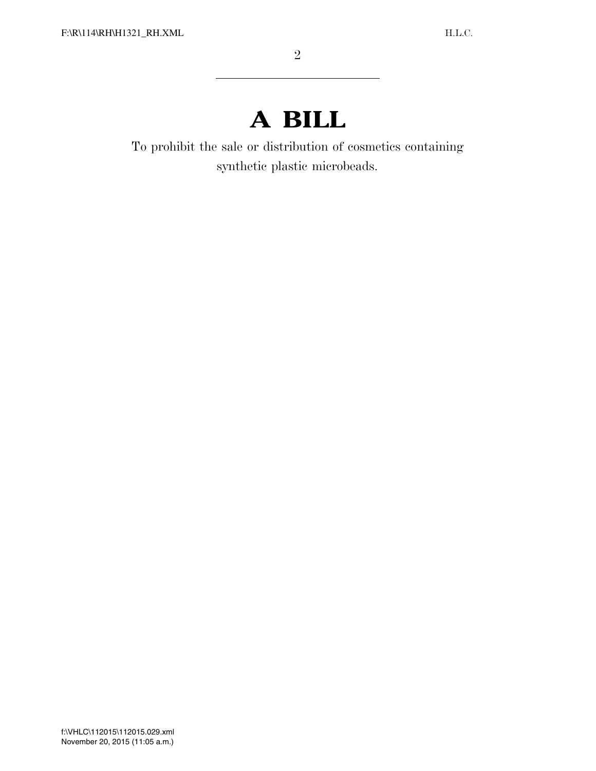## **A BILL**

To prohibit the sale or distribution of cosmetics containing synthetic plastic microbeads.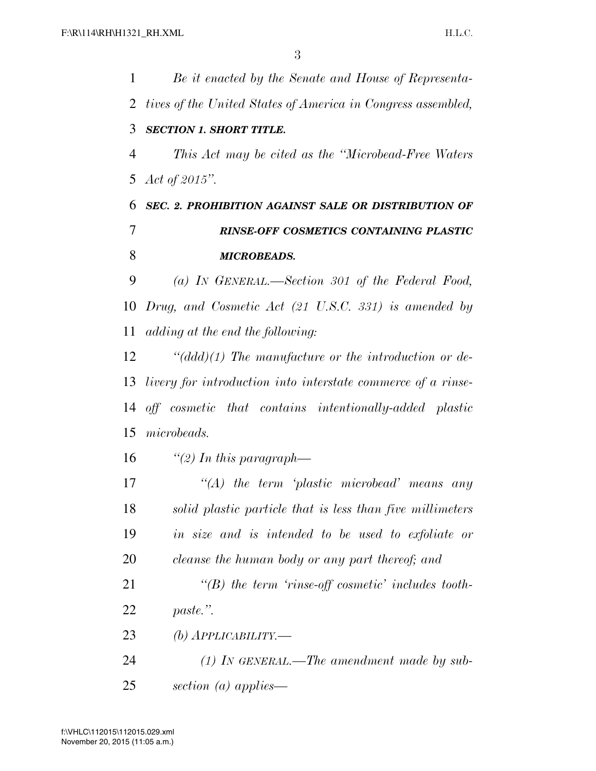*Be it enacted by the Senate and House of Representa- tives of the United States of America in Congress assembled, SECTION 1. SHORT TITLE. This Act may be cited as the ''Microbead-Free Waters Act of 2015''. SEC. 2. PROHIBITION AGAINST SALE OR DISTRIBUTION OF RINSE-OFF COSMETICS CONTAINING PLASTIC MICROBEADS. (a) IN GENERAL.—Section 301 of the Federal Food, Drug, and Cosmetic Act (21 U.S.C. 331) is amended by adding at the end the following: ''(ddd)(1) The manufacture or the introduction or de- livery for introduction into interstate commerce of a rinse- off cosmetic that contains intentionally-added plastic microbeads. ''(2) In this paragraph— ''(A) the term 'plastic microbead' means any solid plastic particle that is less than five millimeters in size and is intended to be used to exfoliate or cleanse the human body or any part thereof; and ''(B) the term 'rinse-off cosmetic' includes tooth- paste.''. (b) APPLICABILITY.— (1) IN GENERAL.—The amendment made by sub-*

*section (a) applies—*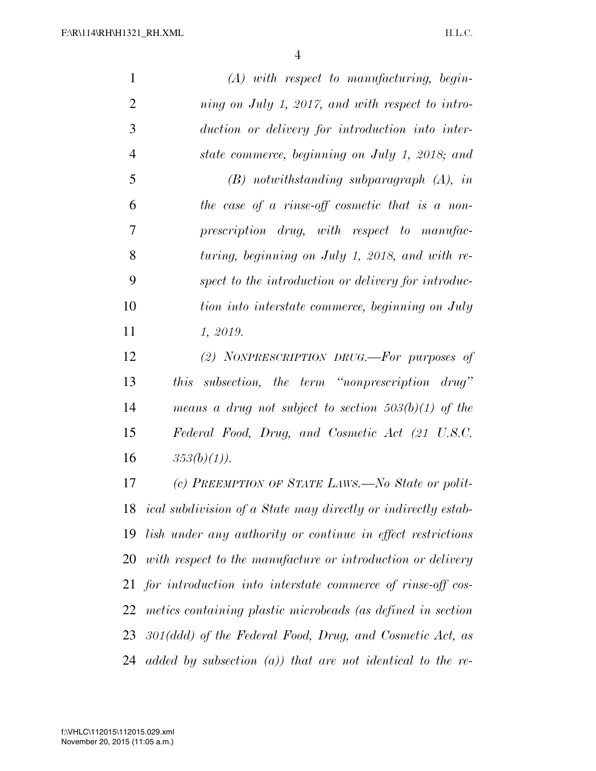*(A) with respect to manufacturing, begin- ning on July 1, 2017, and with respect to intro- duction or delivery for introduction into inter- state commerce, beginning on July 1, 2018; and (B) notwithstanding subparagraph (A), in the case of a rinse-off cosmetic that is a non- prescription drug, with respect to manufac- turing, beginning on July 1, 2018, and with re- spect to the introduction or delivery for introduc- tion into interstate commerce, beginning on July 1, 2019. (2) NONPRESCRIPTION DRUG.—For purposes of* 

 *this subsection, the term ''nonprescription drug'' means a drug not subject to section 503(b)(1) of the Federal Food, Drug, and Cosmetic Act (21 U.S.C.*   $353(b)(1)$ .

 *(c) PREEMPTION OF STATE LAWS.—No State or polit- ical subdivision of a State may directly or indirectly estab- lish under any authority or continue in effect restrictions with respect to the manufacture or introduction or delivery for introduction into interstate commerce of rinse-off cos- metics containing plastic microbeads (as defined in section 301(ddd) of the Federal Food, Drug, and Cosmetic Act, as added by subsection (a)) that are not identical to the re-*